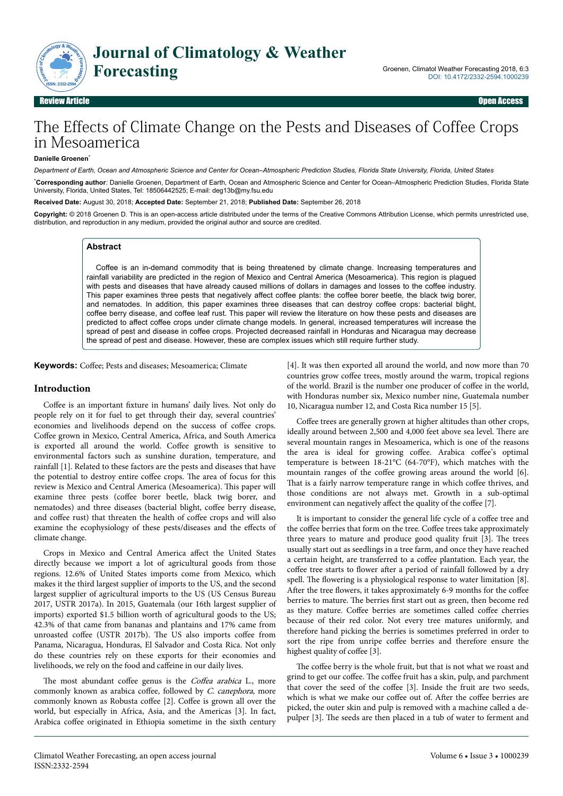

# The Effects of Climate Change on the Pests and Diseases of Coffee Crops in Mesoamerica

# **Danielle Groenen**\*

*Department of Earth, Ocean and Atmospheric Science and Center for Ocean–Atmospheric Prediction Studies, Florida State University, Florida, United States*

\***Corresponding author***:* Danielle Groenen, Department of Earth, Ocean and Atmospheric Science and Center for Ocean–Atmospheric Prediction Studies, Florida State University, Florida, United States, Tel: 18506442525; E-mail: deg13b@my.fsu.edu

**Received Date:** August 30, 2018; **Accepted Date:** September 21, 2018; **Published Date:** September 26, 2018

**Copyright:** © 2018 Groenen D. This is an open-access article distributed under the terms of the Creative Commons Attribution License, which permits unrestricted use, distribution, and reproduction in any medium, provided the original author and source are credited.

## **Abstract**

Coffee is an in-demand commodity that is being threatened by climate change. Increasing temperatures and rainfall variability are predicted in the region of Mexico and Central America (Mesoamerica). This region is plagued with pests and diseases that have already caused millions of dollars in damages and losses to the coffee industry. This paper examines three pests that negatively affect coffee plants: the coffee borer beetle, the black twig borer, and nematodes. In addition, this paper examines three diseases that can destroy coffee crops: bacterial blight, coffee berry disease, and coffee leaf rust. This paper will review the literature on how these pests and diseases are predicted to affect coffee crops under climate change models. In general, increased temperatures will increase the spread of pest and disease in coffee crops. Projected decreased rainfall in Honduras and Nicaragua may decrease the spread of pest and disease. However, these are complex issues which still require further study.

Keywords: Coffee; Pests and diseases; Mesoamerica; Climate

# **Introduction**

Coffee is an important fixture in humans' daily lives. Not only do people rely on it for fuel to get through their day, several countries' economies and livelihoods depend on the success of coffee crops. Coffee grown in Mexico, Central America, Africa, and South America is exported all around the world. Coffee growth is sensitive to environmental factors such as sunshine duration, temperature, and rainfall [1]. Related to these factors are the pests and diseases that have the potential to destroy entire coffee crops. The area of focus for this review is Mexico and Central America (Mesoamerica). Нis paper will examine three pests (coffee borer beetle, black twig borer, and nematodes) and three diseases (bacterial blight, coffee berry disease, and coffee rust) that threaten the health of coffee crops and will also examine the ecophysiology of these pests/diseases and the effects of climate change.

Crops in Mexico and Central America affect the United States directly because we import a lot of agricultural goods from those regions. 12.6% of United States imports come from Mexico, which makes it the third largest supplier of imports to the US, and the second largest supplier of agricultural imports to the US (US Census Bureau 2017, USTR 2017a). In 2015, Guatemala (our 16th largest supplier of imports) exported \$1.5 billion worth of agricultural goods to the US; 42.3% of that came from bananas and plantains and 17% came from unroasted coffee (USTR 2017b). The US also imports coffee from Panama, Nicaragua, Honduras, El Salvador and Costa Rica. Not only do these countries rely on these exports for their economies and livelihoods, we rely on the food and caffeine in our daily lives.

The most abundant coffee genus is the Coffea arabica L., more commonly known as arabica coffee, followed by C. canephora, more commonly known as Robusta coffee [2]. Coffee is grown all over the world, but especially in Africa, Asia, and the Americas [3]. In fact, Arabica coffee originated in Ethiopia sometime in the sixth century

[4]. It was then exported all around the world, and now more than 70 countries grow coffee trees, mostly around the warm, tropical regions of the world. Brazil is the number one producer of coffee in the world, with Honduras number six, Mexico number nine, Guatemala number 10, Nicaragua number 12, and Costa Rica number 15 [5].

Coffee trees are generally grown at higher altitudes than other crops, ideally around between 2,500 and 4,000 feet above sea level. There are several mountain ranges in Mesoamerica, which is one of the reasons the area is ideal for growing coffee. Arabica coffee's optimal temperature is between 18-21°C (64-70°F), which matches with the mountain ranges of the coffee growing areas around the world [6]. That is a fairly narrow temperature range in which coffee thrives, and those conditions are not always met. Growth in a sub-optimal environment can negatively affect the quality of the coffee [7].

It is important to consider the general life cycle of a coffee tree and the coffee berries that form on the tree. Coffee trees take approximately three years to mature and produce good quality fruit [3]. Нe trees usually start out as seedlings in a tree farm, and once they have reached a certain height, are transferred to a coffee plantation. Each year, the coffee tree starts to flower after a period of rainfall followed by a dry spell. The flowering is a physiological response to water limitation [8]. After the tree flowers, it takes approximately 6-9 months for the coffee berries to mature. Нe berries first start out as green, then become red as they mature. Coffee berries are sometimes called coffee cherries because of their red color. Not every tree matures uniformly, and therefore hand picking the berries is sometimes preferred in order to sort the ripe from unripe coffee berries and therefore ensure the highest quality of coffee [3].

The coffee berry is the whole fruit, but that is not what we roast and grind to get our coffee. The coffee fruit has a skin, pulp, and parchment that cover the seed of the coffee [3]. Inside the fruit are two seeds, which is what we make our coffee out of. After the coffee berries are picked, the outer skin and pulp is removed with a machine called a depulper [3]. Нe seeds are then placed in a tub of water to ferment and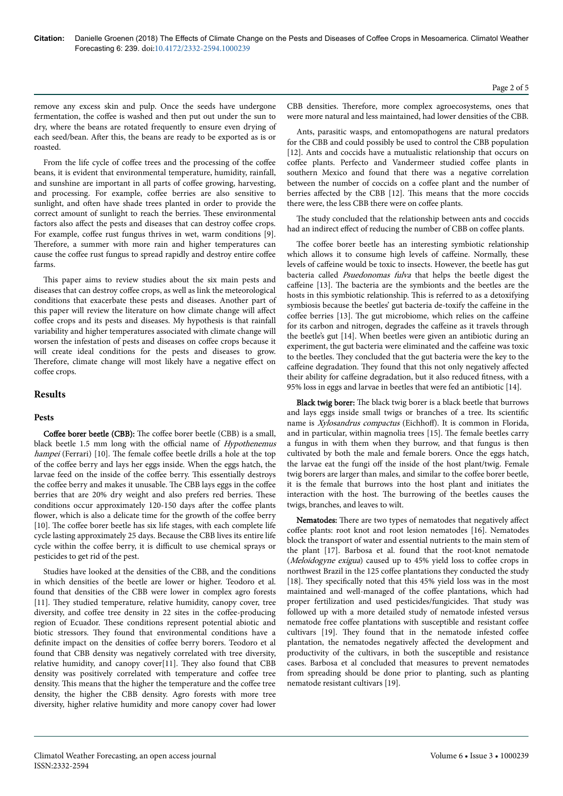remove any excess skin and pulp. Once the seeds have undergone fermentation, the coffee is washed and then put out under the sun to dry, where the beans are rotated frequently to ensure even drying of each seed/bean. After this, the beans are ready to be exported as is or roasted.

From the life cycle of coffee trees and the processing of the coffee beans, it is evident that environmental temperature, humidity, rainfall, and sunshine are important in all parts of coffee growing, harvesting, and processing. For example, coffee berries are also sensitive to sunlight, and often have shade trees planted in order to provide the correct amount of sunlight to reach the berries. Нese environmental factors also affect the pests and diseases that can destroy coffee crops. For example, coffee rust fungus thrives in wet, warm conditions [9]. Therefore, a summer with more rain and higher temperatures can cause the coffee rust fungus to spread rapidly and destroy entire coffee farms.

This paper aims to review studies about the six main pests and diseases that can destroy coffee crops, as well as link the meteorological conditions that exacerbate these pests and diseases. Another part of this paper will review the literature on how climate change will affect coffee crops and its pests and diseases. My hypothesis is that rainfall variability and higher temperatures associated with climate change will worsen the infestation of pests and diseases on coffee crops because it will create ideal conditions for the pests and diseases to grow. Therefore, climate change will most likely have a negative effect on coffee crops.

# **Results**

# **Pests**

Coffee borer beetle (CBB): The coffee borer beetle (CBB) is a small, black beetle 1.5 mm long with the official name of *Hypothenemus* hampei (Ferrari) [10]. The female coffee beetle drills a hole at the top of the coffee berry and lays her eggs inside. When the eggs hatch, the larvae feed on the inside of the coffee berry. This essentially destroys the coffee berry and makes it unusable. The CBB lays eggs in the coffee berries that are 20% dry weight and also prefers red berries. Нese conditions occur approximately 120-150 days after the coffee plants flower, which is also a delicate time for the growth of the coffee berry [10]. The coffee borer beetle has six life stages, with each complete life cycle lasting approximately 25 days. Because the CBB lives its entire life cycle within the coffee berry, it is difficult to use chemical sprays or pesticides to get rid of the pest.

Studies have looked at the densities of the CBB, and the conditions in which densities of the beetle are lower or higher. Teodoro et al. found that densities of the CBB were lower in complex agro forests [11]. They studied temperature, relative humidity, canopy cover, tree diversity, and coffee tree density in 22 sites in the coffee-producing region of Ecuador. Нese conditions represent potential abiotic and biotic stressors. Нey found that environmental conditions have a definite impact on the densities of coffee berry borers. Teodoro et al found that CBB density was negatively correlated with tree diversity, relative humidity, and canopy cover[11]. Нey also found that CBB density was positively correlated with temperature and coffee tree density. This means that the higher the temperature and the coffee tree density, the higher the CBB density. Agro forests with more tree diversity, higher relative humidity and more canopy cover had lower CBB densities. Нerefore, more complex agroecosystems, ones that were more natural and less maintained, had lower densities of the CBB.

Ants, parasitic wasps, and entomopathogens are natural predators for the CBB and could possibly be used to control the CBB population [12]. Ants and coccids have a mutualistic relationship that occurs on coffee plants. Perfecto and Vandermeer studied coffee plants in southern Mexico and found that there was a negative correlation between the number of coccids on a coffee plant and the number of berries affected by the CBB [12]. This means that the more coccids there were, the less CBB there were on coffee plants.

The study concluded that the relationship between ants and coccids had an indirect effect of reducing the number of CBB on coffee plants.

The coffee borer beetle has an interesting symbiotic relationship which allows it to consume high levels of caffeine. Normally, these levels of caffeine would be toxic to insects. However, the beetle has gut bacteria called Psuedonomas fulva that helps the beetle digest the caffeine [13]. The bacteria are the symbionts and the beetles are the hosts in this symbiotic relationship. Нis is referred to as a detoxifying symbiosis because the beetles' gut bacteria de-toxify the caffeine in the coffee berries [13]. The gut microbiome, which relies on the caffeine for its carbon and nitrogen, degrades the caffeine as it travels through the beetle's gut [14]. When beetles were given an antibiotic during an experiment, the gut bacteria were eliminated and the caffeine was toxic to the beetles. Нey concluded that the gut bacteria were the key to the caffeine degradation. They found that this not only negatively affected their ability for caffeine degradation, but it also reduced fitness, with a 95% loss in eggs and larvae in beetles that were fed an antibiotic [14].

Black twig borer: The black twig borer is a black beetle that burrows and lays eggs inside small twigs or branches of a tree. Its scientific name is Xylosandrus compactus (Eichhoff). It is common in Florida, and in particular, within magnolia trees [15]. Нe female beetles carry a fungus in with them when they burrow, and that fungus is then cultivated by both the male and female borers. Once the eggs hatch, the larvae eat the fungi off the inside of the host plant/twig. Female twig borers are larger than males, and similar to the coffee borer beetle, it is the female that burrows into the host plant and initiates the interaction with the host. Нe burrowing of the beetles causes the twigs, branches, and leaves to wilt.

Nematodes: There are two types of nematodes that negatively affect coffee plants: root knot and root lesion nematodes [16]. Nematodes block the transport of water and essential nutrients to the main stem of the plant [17]. Barbosa et al. found that the root-knot nematode (Meloidogyne exigua) caused up to 45% yield loss to coffee crops in northwest Brazil in the 125 coffee plantations they conducted the study [18]. They specifically noted that this 45% yield loss was in the most maintained and well-managed of the coffee plantations, which had proper fertilization and used pesticides/fungicides. That study was followed up with a more detailed study of nematode infested versus nematode free coffee plantations with susceptible and resistant coffee cultivars [19]. They found that in the nematode infested coffee plantation, the nematodes negatively affected the development and productivity of the cultivars, in both the susceptible and resistance cases. Barbosa et al concluded that measures to prevent nematodes from spreading should be done prior to planting, such as planting nematode resistant cultivars [19].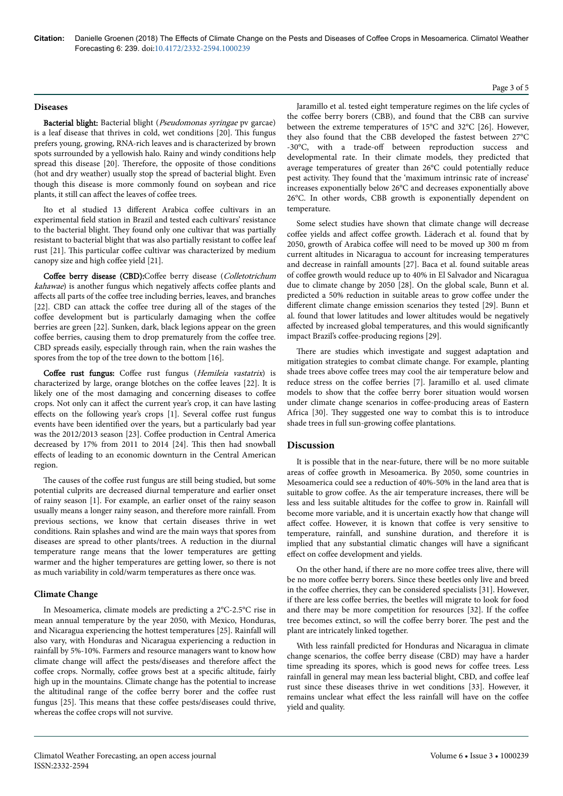**Citation:** Danielle Groenen (2018) The Effects of Climate Change on the Pests and Diseases of Coffee Crops in Mesoamerica. Climatol Weather Forecasting 6: 239. doi:10.4172/2332-2594.1000239

#### **Diseases**

Bacterial blight: Bacterial blight (Pseudomonas syringae pv garcae) is a leaf disease that thrives in cold, wet conditions [20]. Нis fungus prefers young, growing, RNA-rich leaves and is characterized by brown spots surrounded by a yellowish halo. Rainy and windy conditions help spread this disease [20]. Нerefore, the opposite of those conditions (hot and dry weather) usually stop the spread of bacterial blight. Even though this disease is more commonly found on soybean and rice plants, it still can affect the leaves of coffee trees.

Ito et al studied 13 different Arabica coffee cultivars in an experimental field station in Brazil and tested each cultivars' resistance to the bacterial blight. Нey found only one cultivar that was partially resistant to bacterial blight that was also partially resistant to coffee leaf rust [21]. This particular coffee cultivar was characterized by medium canopy size and high coffee yield [21].

Coffee berry disease (CBD):Coffee berry disease (Colletotrichum kahawae) is another fungus which negatively affects coffee plants and affects all parts of the coffee tree including berries, leaves, and branches [22]. CBD can attack the coffee tree during all of the stages of the coffee development but is particularly damaging when the coffee berries are green [22]. Sunken, dark, black legions appear on the green coffee berries, causing them to drop prematurely from the coffee tree. CBD spreads easily, especially through rain, when the rain washes the spores from the top of the tree down to the bottom [16].

Coffee rust fungus: Coffee rust fungus (Hemileia vastatrix) is characterized by large, orange blotches on the coffee leaves [22]. It is likely one of the most damaging and concerning diseases to coffee crops. Not only can it affect the current year's crop, it can have lasting effects on the following year's crops [1]. Several coffee rust fungus events have been identified over the years, but a particularly bad year was the 2012/2013 season [23]. Coffee production in Central America decreased by 17% from 2011 to 2014 [24]. Нis then had snowball effects of leading to an economic downturn in the Central American region.

The causes of the coffee rust fungus are still being studied, but some potential culprits are decreased diurnal temperature and earlier onset of rainy season [1]. For example, an earlier onset of the rainy season usually means a longer rainy season, and therefore more rainfall. From previous sections, we know that certain diseases thrive in wet conditions. Rain splashes and wind are the main ways that spores from diseases are spread to other plants/trees. A reduction in the diurnal temperature range means that the lower temperatures are getting warmer and the higher temperatures are getting lower, so there is not as much variability in cold/warm temperatures as there once was.

## **Climate Change**

In Mesoamerica, climate models are predicting a 2°C-2.5°C rise in mean annual temperature by the year 2050, with Mexico, Honduras, and Nicaragua experiencing the hottest temperatures [25]. Rainfall will also vary, with Honduras and Nicaragua experiencing a reduction in rainfall by 5%-10%. Farmers and resource managers want to know how climate change will affect the pests/diseases and therefore affect the coffee crops. Normally, coffee grows best at a specific altitude, fairly high up in the mountains. Climate change has the potential to increase the altitudinal range of the coffee berry borer and the coffee rust fungus [25]. This means that these coffee pests/diseases could thrive, whereas the coffee crops will not survive.

Jaramillo et al. tested eight temperature regimes on the life cycles of the coffee berry borers (CBB), and found that the CBB can survive between the extreme temperatures of 15°C and 32°C [26]. However, they also found that the CBB developed the fastest between 27°C -30°C, with a trade-off between reproduction success and developmental rate. In their climate models, they predicted that average temperatures of greater than 26°C could potentially reduce pest activity. Нey found that the 'maximum intrinsic rate of increase' increases exponentially below 26°C and decreases exponentially above 26°C. In other words, CBB growth is exponentially dependent on temperature.

Some select studies have shown that climate change will decrease coffee yields and affect coffee growth. Läderach et al. found that by 2050, growth of Arabica coffee will need to be moved up 300 m from current altitudes in Nicaragua to account for increasing temperatures and decrease in rainfall amounts [27]. Baca et al. found suitable areas of coffee growth would reduce up to 40% in El Salvador and Nicaragua due to climate change by 2050 [28]. On the global scale, Bunn et al. predicted a 50% reduction in suitable areas to grow coffee under the different climate change emission scenarios they tested [29]. Bunn et al. found that lower latitudes and lower altitudes would be negatively affected by increased global temperatures, and this would significantly impact Brazil's coffee-producing regions [29].

There are studies which investigate and suggest adaptation and mitigation strategies to combat climate change. For example, planting shade trees above coffee trees may cool the air temperature below and reduce stress on the coffee berries [7]. Jaramillo et al. used climate models to show that the coffee berry borer situation would worsen under climate change scenarios in coffee-producing areas of Eastern Africa [30]. Нey suggested one way to combat this is to introduce shade trees in full sun-growing coffee plantations.

## **Discussion**

It is possible that in the near-future, there will be no more suitable areas of coffee growth in Mesoamerica. By 2050, some countries in Mesoamerica could see a reduction of 40%-50% in the land area that is suitable to grow coffee. As the air temperature increases, there will be less and less suitable altitudes for the coffee to grow in. Rainfall will become more variable, and it is uncertain exactly how that change will affect coffee. However, it is known that coffee is very sensitive to temperature, rainfall, and sunshine duration, and therefore it is implied that any substantial climatic changes will have a significant effect on coffee development and yields.

On the other hand, if there are no more coffee trees alive, there will be no more coffee berry borers. Since these beetles only live and breed in the coffee cherries, they can be considered specialists [31]. However, if there are less coffee berries, the beetles will migrate to look for food and there may be more competition for resources [32]. If the coffee tree becomes extinct, so will the coffee berry borer. The pest and the plant are intricately linked together.

With less rainfall predicted for Honduras and Nicaragua in climate change scenarios, the coffee berry disease (CBD) may have a harder time spreading its spores, which is good news for coffee trees. Less rainfall in general may mean less bacterial blight, CBD, and coffee leaf rust since these diseases thrive in wet conditions [33]. However, it remains unclear what effect the less rainfall will have on the coffee yield and quality.

### Page 3 of 5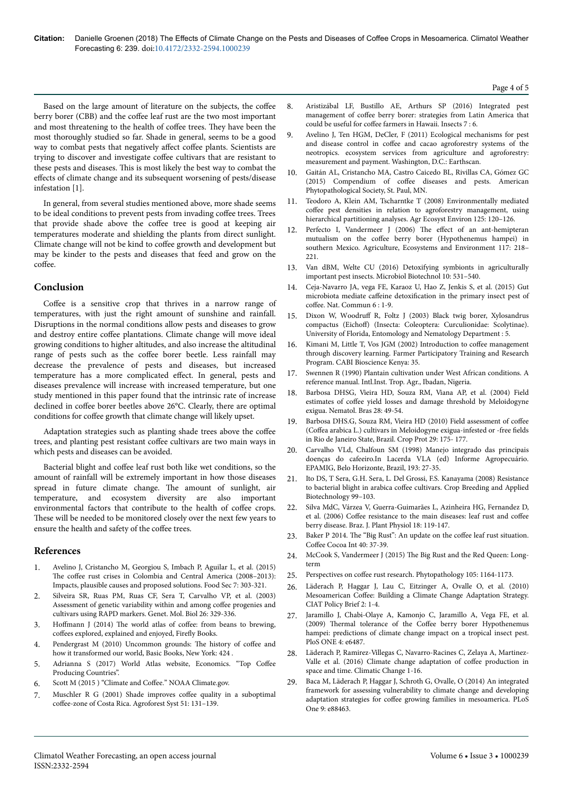Based on the large amount of literature on the subjects, the coffee berry borer (CBB) and the coffee leaf rust are the two most important and most threatening to the health of coffee trees. They have been the most thoroughly studied so far. Shade in general, seems to be a good way to combat pests that negatively affect coffee plants. Scientists are trying to discover and investigate coffee cultivars that are resistant to these pests and diseases. Нis is most likely the best way to combat the effects of climate change and its subsequent worsening of pests/disease infestation [1].

In general, from several studies mentioned above, more shade seems to be ideal conditions to prevent pests from invading coffee trees. Trees that provide shade above the coffee tree is good at keeping air temperatures moderate and shielding the plants from direct sunlight. Climate change will not be kind to coffee growth and development but may be kinder to the pests and diseases that feed and grow on the  $co$ fee

# **Conclusion**

Coffee is a sensitive crop that thrives in a narrow range of temperatures, with just the right amount of sunshine and rainfall. Disruptions in the normal conditions allow pests and diseases to grow and destroy entire coffee plantations. Climate change will move ideal growing conditions to higher altitudes, and also increase the altitudinal range of pests such as the coffee borer beetle. Less rainfall may decrease the prevalence of pests and diseases, but increased temperature has a more complicated effect. In general, pests and diseases prevalence will increase with increased temperature, but one study mentioned in this paper found that the intrinsic rate of increase declined in coffee borer beetles above 26°C. Clearly, there are optimal conditions for coffee growth that climate change will likely upset.

Adaptation strategies such as planting shade trees above the coffee trees, and planting pest resistant coffee cultivars are two main ways in which pests and diseases can be avoided.

Bacterial blight and coffee leaf rust both like wet conditions, so the amount of rainfall will be extremely important in how those diseases spread in future climate change. Нe amount of sunlight, air temperature, and ecosystem diversity are also important environmental factors that contribute to the health of coffee crops. These will be needed to be monitored closely over the next few years to ensure the health and safety of the coffee trees.

# **References**

- 1. [Avelino J, Cristancho M, Georgiou S, Imbach P, Aguilar L, et al. \(2015\)](https://link.springer.com/article/10.1007/s12571-015-0446-9) The coffee [rust crises in Colombia and Central America \(2008–2013\):](https://link.springer.com/article/10.1007/s12571-015-0446-9) [Impacts, plausible causes and proposed solutions. Food Sec 7: 303-321.](https://link.springer.com/article/10.1007/s12571-015-0446-9)
- 2. [Silveira SR, Ruas PM, Ruas CF, Sera T, Carvalho VP, et al. \(2003\)](http://dx.doi.org/10.1590/S1415-47572003000300018) [Assessment of genetic variability within and among](http://dx.doi.org/10.1590/S1415-47572003000300018) coffee progenies and [cultivars using RAPD markers. Genet. Mol. Biol 26: 329-336.](http://dx.doi.org/10.1590/S1415-47572003000300018)
- 3. Hoffmann J (2014) The world atlas of coffee: [from beans to brewing,](https://www.fireflybooks.com/index.php/catalogue/adult-books/product/11056-the-world-atlas-of-coffee-from-beans-to-brewing-coffees-explored-explained-and-enjoyed) coffees [explored, explained and enjoyed,](https://www.fireflybooks.com/index.php/catalogue/adult-books/product/11056-the-world-atlas-of-coffee-from-beans-to-brewing-coffees-explored-explained-and-enjoyed) Firefly Books.
- [Pendergrast M \(2010\) Uncommon grounds:](https://www.goodreads.com/book/show/8598379-uncommon-grounds) The history of coffee and [how it transformed our world, Basic Books, New York: 424 .](https://www.goodreads.com/book/show/8598379-uncommon-grounds)
- 5. [Adrianna S \(2017\) World Atlas website, Economics. "Top](https://www.worldatlas.com/articles/top-coffee-producing-countries.html) Coffee [Producing Countries".](https://www.worldatlas.com/articles/top-coffee-producing-countries.html)
- 6. Scott M (2015 ) "Climate and Coffee." NOAA Climate.gov.
- 7. [Muschler R G \(2001\) Shade improves](http://agris.fao.org/agris-search/search.do?recordID=US201600247440) coffee quality in a suboptimal coffee-zone of Costa Rica. Agroforest Syst 51: 131-139.
- 8. Aristizábal LF, Bustillo AE, Arthurs SP (2016) Integrated pest management of coffee berry borer: strategies from Latin America that could be useful for coffee farmers in Hawaii. Insects 7 : 6.
- 9. [Avelino J, Ten HGM, DeCler, F \(2011\) Ecological mechanisms for pest](http://agris.fao.org/agris-search/search.do?recordID=FR2013101801) and disease control in coffee [and cacao agroforestry systems of the](http://agris.fao.org/agris-search/search.do?recordID=FR2013101801) [neotropics. ecosystem services from agriculture and agroforestry:](http://agris.fao.org/agris-search/search.do?recordID=FR2013101801) [measurement and payment. Washington, D.C.: Earthscan.](http://agris.fao.org/agris-search/search.do?recordID=FR2013101801)
- 10. [Gaitán AL, Cristancho MA, Castro Caicedo BL, Rivillas CA, Gómez GC](http://www.plantmanagementnetwork.org/pub/crop/news/2015/CoffeeDiseases/) (2015) Compendium of coffee [diseases and pests. American](http://www.plantmanagementnetwork.org/pub/crop/news/2015/CoffeeDiseases/) [Phytopathological Society, St. Paul, MN.](http://www.plantmanagementnetwork.org/pub/crop/news/2015/CoffeeDiseases/)
- 11. [Teodoro A, Klein AM, Tscharntke T \(2008\) Environmentally mediated](https://doi.org/10.1016/j.agee.2007.12.004) coffee [pest densities in relation to agroforestry management, using](https://doi.org/10.1016/j.agee.2007.12.004) [hierarchical partitioning analyses. Agr Ecosyst Environ 125: 120–126.](https://doi.org/10.1016/j.agee.2007.12.004)
- 12. [Perfecto I, Vandermeer J \(2006\)](https://doi.org/10.1016/j.agee.2006.04.007) The effect of an ant-hemipteran mutualism on the coffee [berry borer \(Hypothenemus hampei\) in](https://doi.org/10.1016/j.agee.2006.04.007) [southern Mexico. Agriculture, Ecosystems and Environment 117: 218–](https://doi.org/10.1016/j.agee.2006.04.007) [221.](https://doi.org/10.1016/j.agee.2006.04.007)
- 13. Van dBM, Welte CU (2016) Detoxifying symbionts in agriculturally important pest insects. Microbiol Biotechnol 10: 531–540.
- 14. [Ceja-Navarro JA, vega FE, Karaoz U, Hao Z, Jenkis S, et al. \(2015\) Gut](https://www.nature.com/articles/ncomms8618) microbiota mediate caffeine detoxification [in the primary insect pest of](https://www.nature.com/articles/ncomms8618) coffee. [Nat. Commun 6 : 1-9.](https://www.nature.com/articles/ncomms8618)
- 15. Dixon W, Woodruff [R, Foltz J \(2003\) Black twig borer, Xylosandrus](http://edis.ifas.ufl.edu/in577) compactus (Eichoff) ([Insecta: Coleoptera: Curculionidae: Scolytinae\).](http://edis.ifas.ufl.edu/in577) [University of Florida, Entomology and Nematology Department : 5.](http://edis.ifas.ufl.edu/in577)
- 16. [Kimani M, Little T, Vos JGM \(2002\) Introduction to](https://hortintl.cals.ncsu.edu/articles/introduction-coffee-management-through-discovery-learning) coffee management [through discovery learning. Farmer Participatory Training and Research](https://hortintl.cals.ncsu.edu/articles/introduction-coffee-management-through-discovery-learning) [Program. CABI Bioscience Kenya: 35.](https://hortintl.cals.ncsu.edu/articles/introduction-coffee-management-through-discovery-learning)
- [Swennen R \(1990\) Plantain cultivation under West African conditions. A](http://newint.iita.org/wp-content/uploads/2016/05/Plantain-cultivation-under-West-African-conditions-a-reference-manual.pdf) [reference manual. Intl.Inst. Trop. Agr., Ibadan, Nigeria.](http://newint.iita.org/wp-content/uploads/2016/05/Plantain-cultivation-under-West-African-conditions-a-reference-manual.pdf)
- 18. Barbosa DHSG, Vieira HD, Souza RM, Viana AP, et al. (2004) Field estimates of coffee yield losses and damage threshold by Meloidogyne exigua. Nematol. Bras 28: 49-54.
- 19. Barbosa DHS.G, Souza RM, Vieira HD (2010) Field assessment of coffee (Coffea arabica L.) cultivars in Meloidogyne exigua-infested or -free fields in Rio de Janeiro State, Brazil. Crop Prot 29: 175- 177.
- 20. Carvalho VLd, Chalfoun SM (1998) Manejo integrado das principais doenças do cafeeiro.In Lacerda VLA (ed) Informe Agropecuário. EPAMIG, Belo Horizonte, Brazil, 193: 27-35.
- 21. Ito DS, T Sera, G.H. Sera, L. Del Grossi, F.S. Kanayama (2008) Resistance to bacterial blight in arabica coffee cultivars. Crop Breeding and Applied Biotechnology 99–103.
- 22. [Silva MdC, Várzea V, Guerra-Guimarães L, Azinheira HG, Fernandez D,](http://www.scielo.br/scielo.php?pid=S1677-04202006000100010&script=sci_abstract) et al. (2006) Coffee [resistance to the main diseases: leaf rust and](http://www.scielo.br/scielo.php?pid=S1677-04202006000100010&script=sci_abstract) coffee [berry disease. Braz. J. Plant Physiol 18: 119-147.](http://www.scielo.br/scielo.php?pid=S1677-04202006000100010&script=sci_abstract)
- 23. Baker P 2014. The "Big Rust": An update on the coffee leaf rust situation. Coffee Cocoa Int 40: 37-39.
- 24. McCook S, Vandermeer J (2015) Нe Big Rust and the Red Queen: Longterm
- 25. Perspectives on coffee rust research. Phytopathology 105: 1164-1173.
- 26. [Läderach P, Haggar J, Lau C, Eitzinger A, Ovalle O, et al. \(2010\)](https://ccafs.cgiar.org/publications/mesoamerican-coffee-building-climate-change-adaptation-strategy) Mesoamerican Coffee: [Building a Climate Change Adaptation Strategy.](https://ccafs.cgiar.org/publications/mesoamerican-coffee-building-climate-change-adaptation-strategy) [CIAT Policy Brief 2: 1-4.](https://ccafs.cgiar.org/publications/mesoamerican-coffee-building-climate-change-adaptation-strategy)
- 27. [Jaramillo J, Chabi-Olaye A, Kamonjo C, Jaramillo A, Vega FE, et al.](https://www.ncbi.nlm.nih.gov/pubmed/19649255) (2009) Thermal tolerance of the Coffee [berry borer Hypothenemus](https://www.ncbi.nlm.nih.gov/pubmed/19649255) [hampei: predictions of climate change impact on a tropical insect pest.](https://www.ncbi.nlm.nih.gov/pubmed/19649255) [PloS ONE 4: e6487.](https://www.ncbi.nlm.nih.gov/pubmed/19649255)
- 28. [Läderach P, Ramirez-Villegas C, Navarro-Racines C, Zelaya A, Martinez-](https://link.springer.com/article/10.1007/s10584-016-1788-9)[Valle et al. \(2016\) Climate change adaptation of](https://link.springer.com/article/10.1007/s10584-016-1788-9) coffee production in [space and time. Climatic Change 1-16.](https://link.springer.com/article/10.1007/s10584-016-1788-9)
- 29. [Baca M, Läderach P, Haggar J, Schroth G, Ovalle, O \(2014\) An integrated](https://doi.org/10.1371/journal.pone.0088463) [framework for assessing vulnerability to climate change and developing](https://doi.org/10.1371/journal.pone.0088463) adaptation strategies for coffee [growing families in mesoamerica. PLoS](https://doi.org/10.1371/journal.pone.0088463) [One 9: e88463.](https://doi.org/10.1371/journal.pone.0088463)